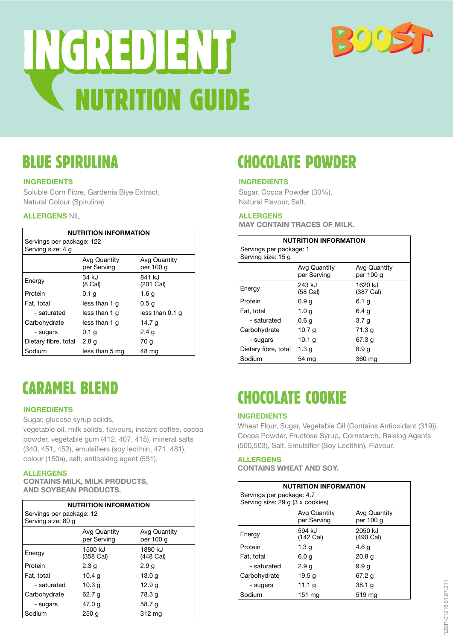



## BLUE SPIRULINA

## **INGREDIENTS**

Soluble Corn Fibre, Gardenia Blye Extract, Natural Colour (Spirulina)

## **ALLERGENS** NIL

| <b>NUTRITION INFORMATION</b>                   |                             |                           |
|------------------------------------------------|-----------------------------|---------------------------|
| Servings per package: 122<br>Serving size: 4 g |                             |                           |
|                                                | Avg Quantity<br>per Serving | Avg Quantity<br>per 100 g |
| Energy                                         | 34 kJ<br>(8 Cal)            | 841 kJ<br>(201 Cal)       |
| Protein                                        | 0.1 <sub>g</sub>            | 1.6 g                     |
| Fat, total                                     | less than 1 g               | 0.5 <sub>g</sub>          |
| - saturated                                    | less than 1 q               | less than 0.1 q           |
| Carbohydrate                                   | less than 1 q               | 14.7 g                    |
| - sugars                                       | 0.1 g                       | 2.4 g                     |
| Dietary fibre, total                           | 2.8 <sub>g</sub>            | 70 g                      |
| Sodium                                         | less than 5 mg              | 48 mg                     |

## CARAMEL BLEND

## **INGREDIENTS**

Sugar, glucose syrup solids,

vegetable oil, milk solids, flavours, instant coffee, cocoa powder, vegetable gum (412, 407, 415), mineral salts (340, 451, 452), emulsifiers (soy lecithin, 471, 481), colour (150a), salt, anticaking agent (551).

### **ALLERGENS**

**CONTAINS MILK, MILK PRODUCTS, AND SOYBEAN PRODUCTS.**

| <b>NUTRITION INFORMATION</b> |                             |                                  |
|------------------------------|-----------------------------|----------------------------------|
| Servings per package: 12     |                             |                                  |
| Serving size: 80 g           |                             |                                  |
|                              | Avg Quantity<br>per Serving | <b>Avg Quantity</b><br>per 100 g |
| Energy                       | 1500 kJ<br>(358 Cal)        | 1880 kJ<br>(448 Cal)             |
| Protein                      | 2.3 <sub>q</sub>            | 2.9 <sub>q</sub>                 |
| Fat, total                   | 10.4 g                      | 13.0 g                           |
| - saturated                  | 10.3 g                      | 12.9 g                           |
| Carbohydrate                 | 62.7 g                      | 78.3 q                           |
| - sugars                     | 47.0 g                      | 58.7 g                           |
| Sodium                       | 250q                        | 312 mg                           |

# CHOCOLATE POWDER

#### **INGREDIENTS**

Sugar, Cocoa Powder (30%), Natural Flavour, Salt.

### **ALLERGENS**

**MAY CONTAIN TRACES OF MILK.** 

| <b>NUTRITION INFORMATION</b> |                    |                      |
|------------------------------|--------------------|----------------------|
| Servings per package: 1      |                    |                      |
| Serving size: 15 g           |                    |                      |
|                              | Avg Quantity       | Avg Quantity         |
|                              | per Serving        | per 100 g            |
| Energy                       | 243 kJ<br>(58 Cal) | 1620 kJ<br>(387 Cal) |
| Protein                      | 0.9 <sub>g</sub>   | 6.1 <sub>g</sub>     |
| Fat, total                   | 1.0 g              | 6.4 a                |
| - saturated                  | 0.6g               | 3.7 a                |
| Carbohydrate                 | 10.7 g             | 71.3 g               |
| - sugars                     | 10.1 g             | 67.3 g               |
| Dietary fibre, total         | 1.3 a              | 8.9 a                |
| Sodium                       | 54 mg              | 360 ma               |

# CHOCOLATE COOKIE

### **INGREDIENTS**

Wheat Flour, Sugar, Vegetable Oil (Contains Antioxidant (319)), Cocoa Powder, Fructose Syrup, Cornstarch, Raising Agents (500,503), Salt, Emulsifier (Soy Lecithin), Flavour.

#### **ALLERGENS**

**CONTAINS WHEAT AND SOY.** 

| <b>NUTRITION INFORMATION</b><br>Servings per package: 4.7<br>Serving size: 29 g (3 x cookies) |                     |                      |
|-----------------------------------------------------------------------------------------------|---------------------|----------------------|
| Avg Quantity<br>Avg Quantity<br>per Serving<br>per 100 g                                      |                     |                      |
| Energy                                                                                        | 594 kJ<br>(142 Cal) | 2050 kJ<br>(490 Cal) |
| Protein                                                                                       | 1.3 <sub>g</sub>    | 4.6 g                |
| Fat, total                                                                                    | 6.0 a               | 20.8 <sub>q</sub>    |
| - saturated                                                                                   | 2.9 <sub>g</sub>    | 9.9q                 |
| Carbohydrate                                                                                  | 19.5 g              | 67.2 g               |
| - sugars                                                                                      | 11.1 g              | 38.1 g               |
| Sodium                                                                                        | 151 ma              | 519 ma               |